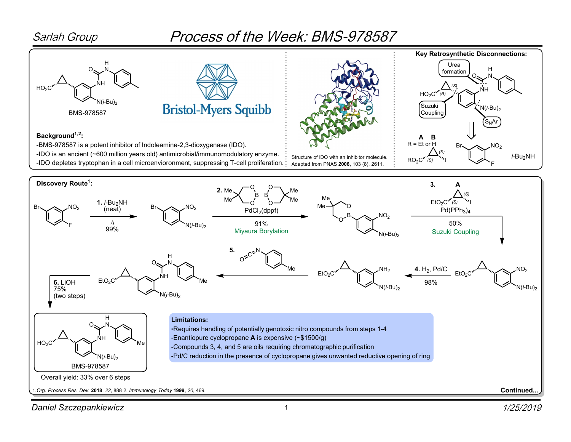

## Process of the Week: BMS-978587